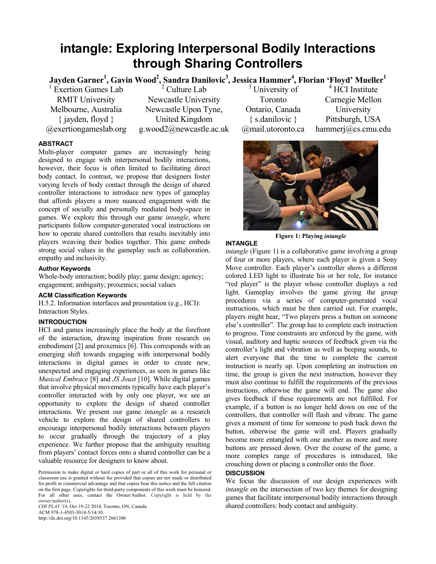# **intangle: Exploring Interpersonal Bodily Interactions through Sharing Controllers**

# $\rm{Jayden\;Garner}^1,$   $\rm{Gavin\;Wood}^2,$   $\rm{Sandra\;Danilovic}^3,$   $\rm{Jessica\;Hammer}^4,$   $\rm{Florian\;`Flowd'}$   $\rm{Mueller}^1$

<sup>1</sup> Exertion Games Lab RMIT University Melbourne, Australia { jayden, floyd } @exertiongameslab.org

<sup>2</sup> Culture Lab Newcastle University Newcastle Upon Tyne, United Kingdom g.wood2@newcastle.ac.uk

<sup>3</sup> University of Toronto Ontario, Canada { s.danilovic } @mail.utoronto.ca

4 HCI Institute Carnegie Mellon University Pittsburgh, USA hammerj@cs.cmu.edu



**Figure 1: Playing** *intangle*

### **INTANGLE**

*intangle* (Figure 1) is a collaborative game involving a group of four or more players, where each player is given a Sony Move controller. Each player's controller shows a different colored LED light to illustrate his or her role, for instance "red player" is the player whose controller displays a red light. Gameplay involves the game giving the group procedures via a series of computer-generated vocal instructions, which must be then carried out. For example, players might hear, "Two players press a button on someone else's controller". The group has to complete each instruction to progress. Time constraints are enforced by the game, with visual, auditory and haptic sources of feedback given via the controller's light and vibration as well as beeping sounds, to alert everyone that the time to complete the current instruction is nearly up. Upon completing an instruction on time, the group is given the next instruction, however they must also continue to fulfill the requirements of the previous instructions, otherwise the game will end. The game also gives feedback if these requirements are not fulfilled. For example, if a button is no longer held down on one of the controllers, that controller will flash and vibrate. The game gives a moment of time for someone to push back down the button, otherwise the game will end. Players gradually become more entangled with one another as more and more buttons are pressed down. Over the course of the game, a more complex range of procedures is introduced, like crouching down or placing a controller onto the floor.

#### **DISCUSSION**

We focus the discussion of our design experiences with *intangle* on the intersection of two key themes for designing games that facilitate interpersonal bodily interactions through shared controllers: body contact and ambiguity.

### **ABSTRACT**

Multi-player computer games are increasingly being designed to engage with interpersonal bodily interactions, however, their focus is often limited to facilitating direct body contact. In contrast, we propose that designers foster varying levels of body contact through the design of shared controller interactions to introduce new types of gameplay that affords players a more nuanced engagement with the concept of socially and personally mediated body-space in games. We explore this through our game *intangle*, where participants follow computer-generated vocal instructions on how to operate shared controllers that results inevitably into players weaving their bodies together. This game embeds strong social values in the gameplay such as collaboration, empathy and inclusivity.

# **Author Keywords**

Whole-body interaction; bodily play; game design; agency; engagement; ambiguity; proxemics; social values

#### **ACM Classification Keywords**

H.5.2. Information interfaces and presentation (e.g., HCI): Interaction Styles.

#### **INTRODUCTION**

HCI and games increasingly place the body at the forefront of the interaction, drawing inspiration from research on embodiment [2] and proxemics [6]. This corresponds with an emerging shift towards engaging with interpersonal bodily interactions in digital games in order to create new, unexpected and engaging experiences, as seen in games like *Musical Embrace* [8] and *JS Joust* [10]. While digital games that involve physical movements typically have each player's controller interacted with by only one player, we see an opportunity to explore the design of shared controller interactions. We present our game *intangle* as a research vehicle to explore the design of shared controllers to encourage interpersonal bodily interactions between players to occur gradually through the trajectory of a play experience. We further propose that the ambiguity resulting from players' contact forces onto a shared controller can be a valuable resource for designers to know about.

*CHI PLAY '14*, Oct 19-22 2014, Toronto, ON, Canada ACM 978-1-4503-3014-5/14/10. http://dx.doi.org/10.1145/2658537.2661306

Permission to make digital or hard copies of part or all of this work for personal or classroom use is granted without fee provided that copies are not made or distributed for profit or commercial advantage and that copies bear this notice and the full citation on the first page. Copyrights for third-party components of this work must be honored. For all other uses, contact the Owner/Author. Copyright is held by the owner/author(s).